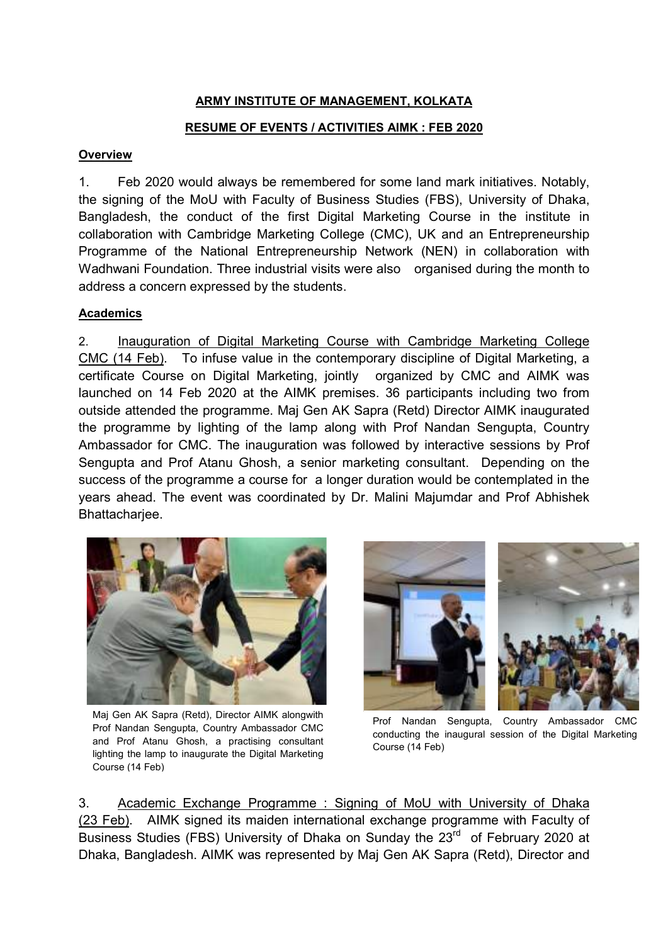# ARMY INSTITUTE OF MANAGEMENT, KOLKATA

### RESUME OF EVENTS / ACTIVITIES AIMK : FEB 2020

#### **Overview**

1. Feb 2020 would always be remembered for some land mark initiatives. Notably, the signing of the MoU with Faculty of Business Studies (FBS), University of Dhaka, Bangladesh, the conduct of the first Digital Marketing Course in the institute in collaboration with Cambridge Marketing College (CMC), UK and an Entrepreneurship Programme of the National Entrepreneurship Network (NEN) in collaboration with Wadhwani Foundation. Three industrial visits were also organised during the month to address a concern expressed by the students.

### Academics

2. Inauguration of Digital Marketing Course with Cambridge Marketing College CMC (14 Feb). To infuse value in the contemporary discipline of Digital Marketing, a certificate Course on Digital Marketing, jointly organized by CMC and AIMK was launched on 14 Feb 2020 at the AIMK premises. 36 participants including two from outside attended the programme. Maj Gen AK Sapra (Retd) Director AIMK inaugurated the programme by lighting of the lamp along with Prof Nandan Sengupta, Country Ambassador for CMC. The inauguration was followed by interactive sessions by Prof Sengupta and Prof Atanu Ghosh, a senior marketing consultant. Depending on the success of the programme a course for a longer duration would be contemplated in the years ahead. The event was coordinated by Dr. Malini Majumdar and Prof Abhishek Bhattacharjee.



Maj Gen AK Sapra (Retd), Director AIMK alongwith Prof Nandan Sengupta, Country Ambassador CMC and Prof Atanu Ghosh, a practising consultant lighting the lamp to inaugurate the Digital Marketing Course (14 Feb)



Prof Nandan Sengupta, Country Ambassador CMC conducting the inaugural session of the Digital Marketing Course (14 Feb)

3. Academic Exchange Programme : Signing of MoU with University of Dhaka (23 Feb). AIMK signed its maiden international exchange programme with Faculty of Business Studies (FBS) University of Dhaka on Sunday the 23<sup>rd</sup> of February 2020 at Dhaka, Bangladesh. AIMK was represented by Maj Gen AK Sapra (Retd), Director and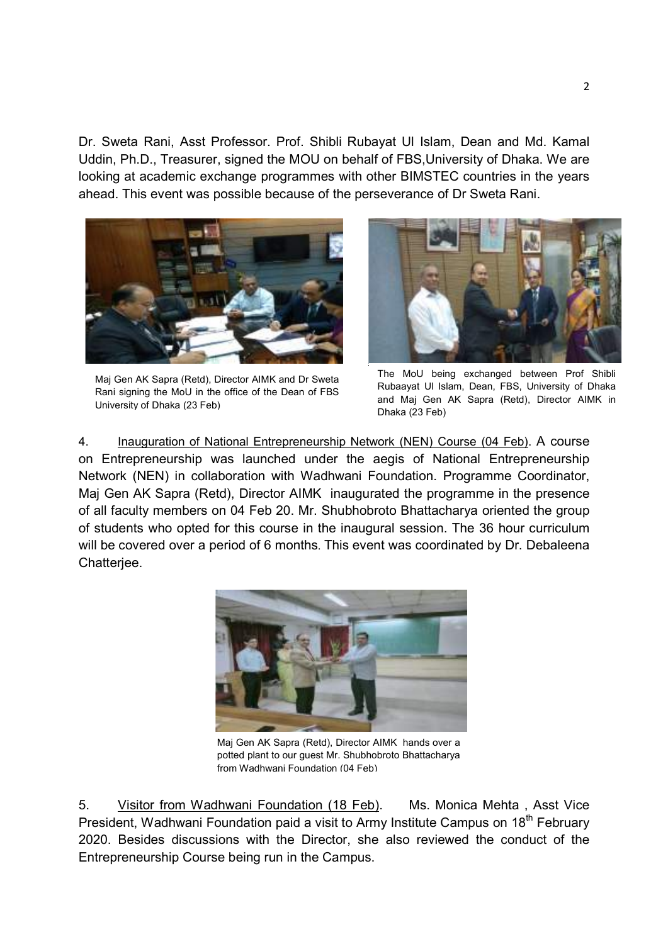Dr. Sweta Rani, Asst Professor. Prof. Shibli Rubayat Ul Islam, Dean and Md. Kamal Uddin, Ph.D., Treasurer, signed the MOU on behalf of FBS,University of Dhaka. We are looking at academic exchange programmes with other BIMSTEC countries in the years ahead. This event was possible because of the perseverance of Dr Sweta Rani.



Maj Gen AK Sapra (Retd), Director AIMK and Dr Sweta Rani signing the MoU in the office of the Dean of FBS University of Dhaka (23 Feb)



The MoU being exchanged between Prof Shibli Rubaayat Ul Islam, Dean, FBS, University of Dhaka and Maj Gen AK Sapra (Retd), Director AIMK in Dhaka (23 Feb)

4. Inauguration of National Entrepreneurship Network (NEN) Course (04 Feb). A course on Entrepreneurship was launched under the aegis of National Entrepreneurship Network (NEN) in collaboration with Wadhwani Foundation. Programme Coordinator, Maj Gen AK Sapra (Retd), Director AIMK inaugurated the programme in the presence of all faculty members on 04 Feb 20. Mr. Shubhobroto Bhattacharya oriented the group of students who opted for this course in the inaugural session. The 36 hour curriculum will be covered over a period of 6 months. This event was coordinated by Dr. Debaleena Chatterjee.



Maj Gen AK Sapra (Retd), Director AIMK hands over a potted plant to our guest Mr. Shubhobroto Bhattacharya from Wadhwani Foundation (04 Feb)

5. Visitor from Wadhwani Foundation (18 Feb). Ms. Monica Mehta, Asst Vice President, Wadhwani Foundation paid a visit to Army Institute Campus on 18<sup>th</sup> February 2020. Besides discussions with the Director, she also reviewed the conduct of the Entrepreneurship Course being run in the Campus.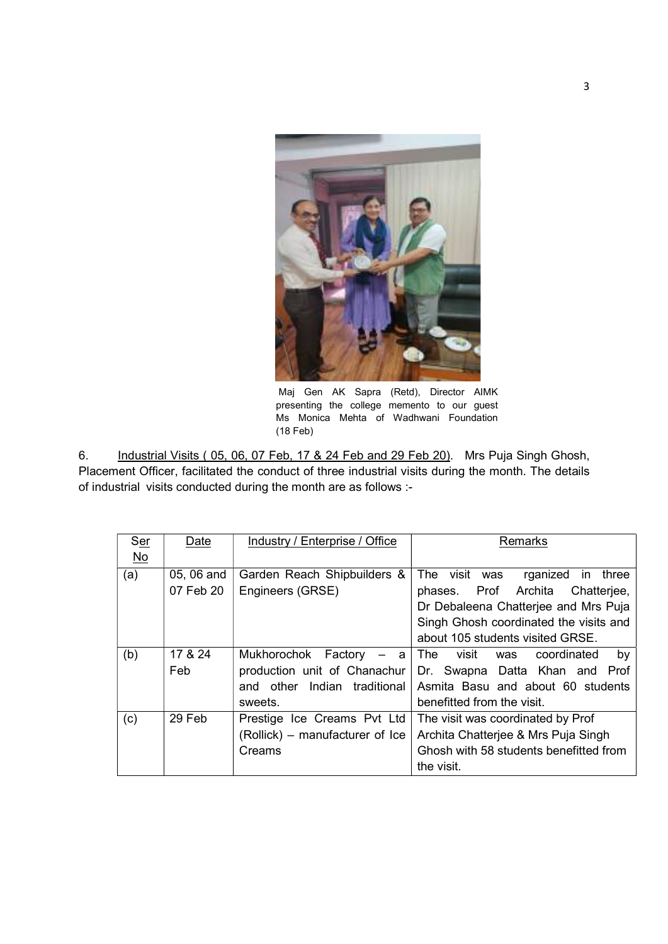

 Maj Gen AK Sapra (Retd), Director AIMK presenting the college memento to our guest Ms Monica Mehta of Wadhwani Foundation (18 Feb)

6. Industrial Visits ( 05, 06, 07 Feb, 17 & 24 Feb and 29 Feb 20). Mrs Puja Singh Ghosh, Placement Officer, facilitated the conduct of three industrial visits during the month. The details of industrial visits conducted during the month are as follows :-

| Ser       | Date       | Industry / Enterprise / Office  | Remarks                                |
|-----------|------------|---------------------------------|----------------------------------------|
| <u>No</u> |            |                                 |                                        |
| (a)       | 05, 06 and | Garden Reach Shipbuilders &     | The visit was<br>rganized in<br>three  |
|           | 07 Feb 20  | Engineers (GRSE)                | phases. Prof Archita Chatterjee,       |
|           |            |                                 | Dr Debaleena Chatterjee and Mrs Puja   |
|           |            |                                 | Singh Ghosh coordinated the visits and |
|           |            |                                 | about 105 students visited GRSE.       |
| (b)       | 17 & 24    | Mukhorochok Factory<br>$-$ a    | The<br>visit was coordinated<br>by     |
|           | Feb        | production unit of Chanachur    | Dr. Swapna Datta Khan and Prof         |
|           |            | Indian traditional<br>and other | Asmita Basu and about 60 students      |
|           |            | sweets.                         | benefitted from the visit.             |
| (c)       | 29 Feb     | Prestige Ice Creams Pvt Ltd     | The visit was coordinated by Prof      |
|           |            | (Rollick) – manufacturer of Ice | Archita Chatterjee & Mrs Puja Singh    |
|           |            | Creams                          | Ghosh with 58 students benefitted from |
|           |            |                                 | the visit.                             |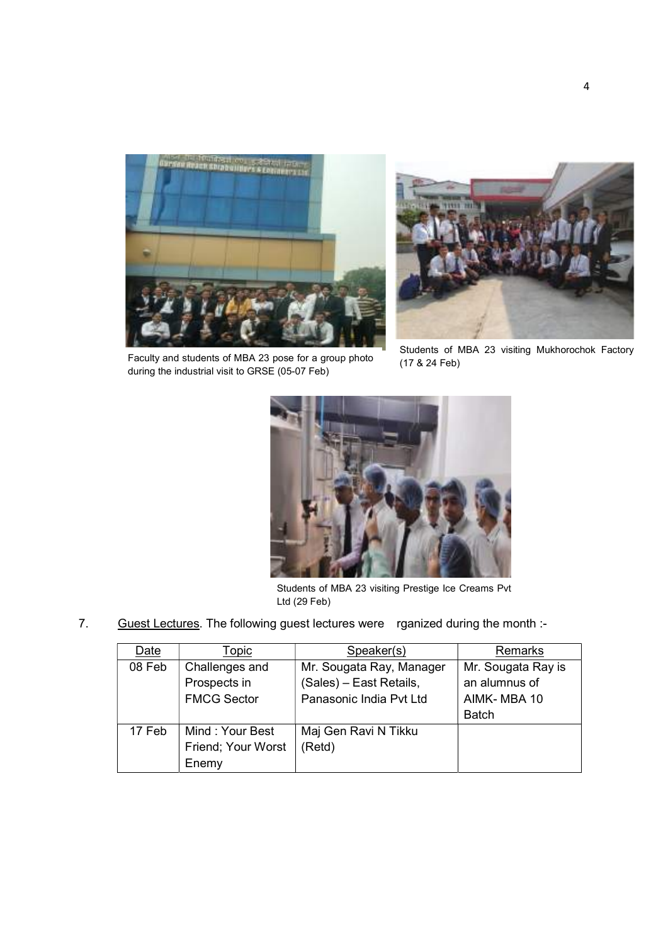

Faculty and students of MBA 23 pose for a group photo during the industrial visit to GRSE (05-07 Feb)



Students of MBA 23 visiting Mukhorochok Factory (17 & 24 Feb)



Students of MBA 23 visiting Prestige Ice Creams Pvt Ltd (29 Feb)

7. Guest Lectures. The following guest lectures were rganized during the month :-

| Date   | Topic              | Speaker(s)               | Remarks            |
|--------|--------------------|--------------------------|--------------------|
| 08 Feb | Challenges and     | Mr. Sougata Ray, Manager | Mr. Sougata Ray is |
|        | Prospects in       | (Sales) - East Retails,  | an alumnus of      |
|        | <b>FMCG Sector</b> | Panasonic India Pvt Ltd  | AIMK-MBA 10        |
|        |                    |                          | <b>Batch</b>       |
| 17 Feb | Mind: Your Best    | Maj Gen Ravi N Tikku     |                    |
|        | Friend; Your Worst | (Retd)                   |                    |
|        | Enemy              |                          |                    |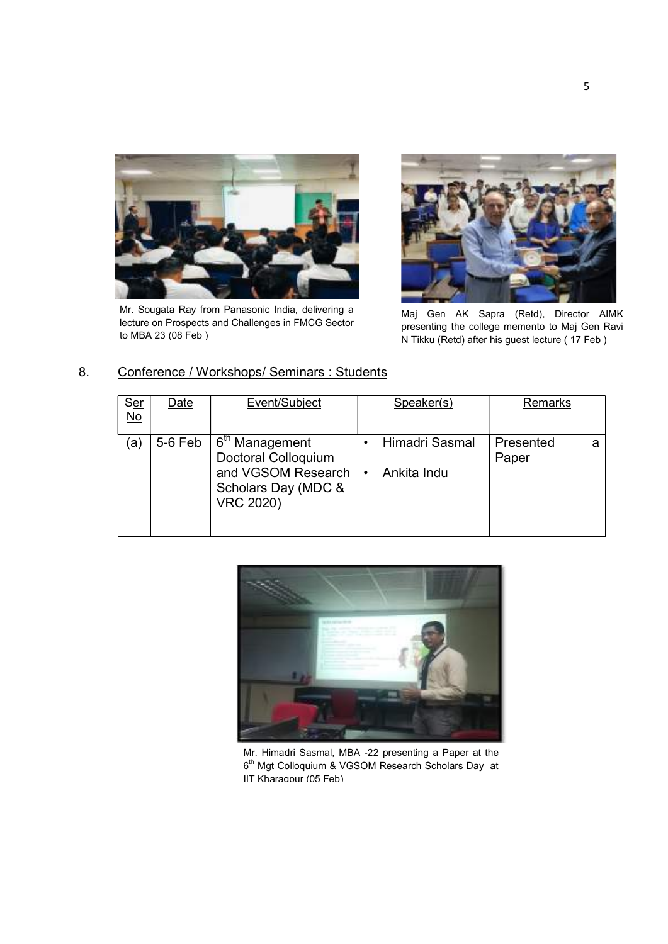

Mr. Sougata Ray from Panasonic India, delivering a lecture on Prospects and Challenges in FMCG Sector to MBA 23 (08 Feb )



Maj Gen AK Sapra (Retd), Director AIMK presenting the college memento to Maj Gen Ravi N Tikku (Retd) after his guest lecture ( 17 Feb )

| Ser<br>No         | Date    | Event/Subject                                                                                                      |           | Speaker(s)                    | Remarks            |   |
|-------------------|---------|--------------------------------------------------------------------------------------------------------------------|-----------|-------------------------------|--------------------|---|
| $\left( a\right)$ | 5-6 Feb | 6 <sup>th</sup> Management<br>Doctoral Colloquium<br>and VGSOM Research<br>Scholars Day (MDC &<br><b>VRC 2020)</b> | $\bullet$ | Himadri Sasmal<br>Ankita Indu | Presented<br>Paper | a |

#### 8. Conference / Workshops/ Seminars : Students



Mr. Himadri Sasmal, MBA -22 presenting a Paper at the 6<sup>th</sup> Mgt Colloquium & VGSOM Research Scholars Day at IIT Kharagpur (05 Feb)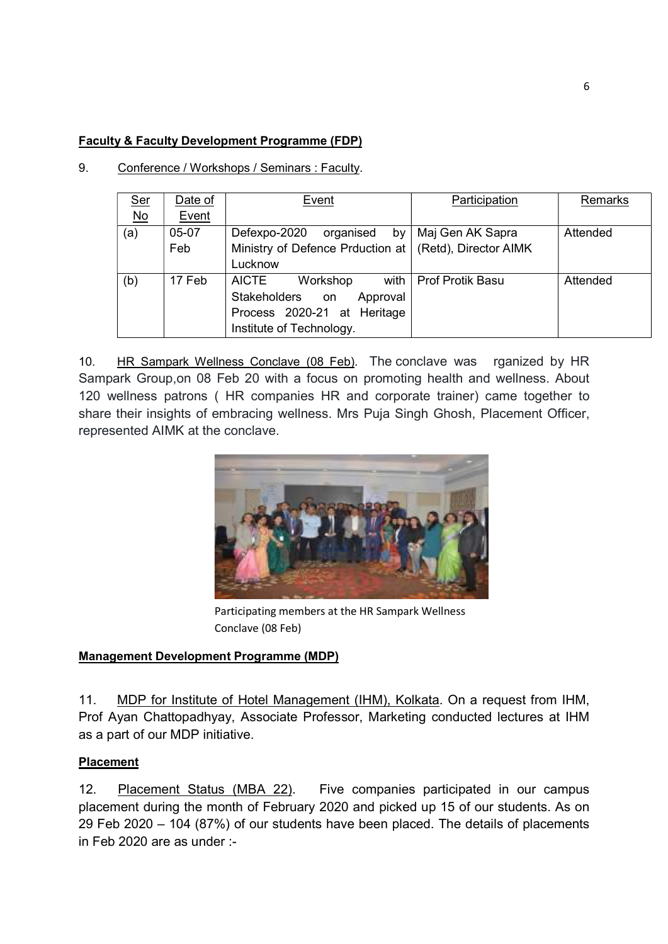# Faculty & Faculty Development Programme (FDP)

| 9. | Conference / Workshops / Seminars : Faculty. |
|----|----------------------------------------------|
|    |                                              |

| <u>Ser</u>                | Date of | Event                                                    | Participation           | Remarks  |
|---------------------------|---------|----------------------------------------------------------|-------------------------|----------|
| $\underline{\mathsf{No}}$ | Event   |                                                          |                         |          |
| (a)                       | 05-07   | Defexpo-2020<br>by <sub>1</sub><br>organised             | Maj Gen AK Sapra        | Attended |
|                           | Feb     | Ministry of Defence Prduction at   (Retd), Director AIMK |                         |          |
|                           |         | Lucknow                                                  |                         |          |
| (b)                       | 17 Feb  | <b>AICTE</b><br>Workshop                                 | with   Prof Protik Basu | Attended |
|                           |         | Stakeholders on<br>Approval                              |                         |          |
|                           |         | Process 2020-21 at Heritage                              |                         |          |
|                           |         | Institute of Technology.                                 |                         |          |

10. HR Sampark Wellness Conclave (08 Feb). The conclave was rganized by HR Sampark Group,on 08 Feb 20 with a focus on promoting health and wellness. About 120 wellness patrons ( HR companies HR and corporate trainer) came together to share their insights of embracing wellness. Mrs Puja Singh Ghosh, Placement Officer, represented AIMK at the conclave.



Participating members at the HR Sampark Wellness Conclave (08 Feb)

### Management Development Programme (MDP)

11. MDP for Institute of Hotel Management (IHM), Kolkata. On a request from IHM, Prof Ayan Chattopadhyay, Associate Professor, Marketing conducted lectures at IHM as a part of our MDP initiative.

### Placement

12. Placement Status (MBA 22). Five companies participated in our campus placement during the month of February 2020 and picked up 15 of our students. As on 29 Feb 2020 – 104 (87%) of our students have been placed. The details of placements in Feb 2020 are as under :-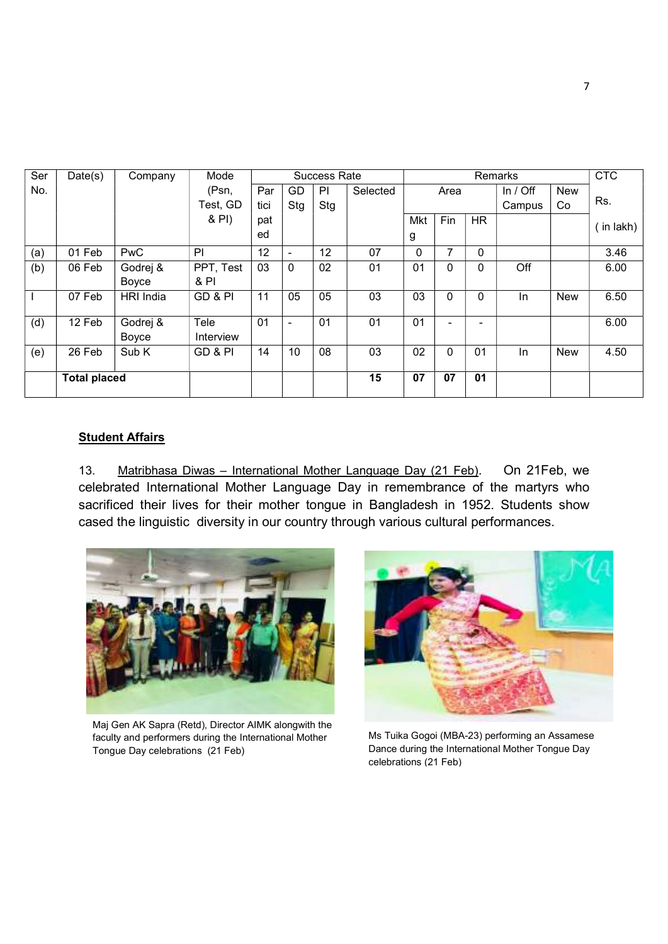| Ser | Date(s)             | Company    | Mode      |      |                | <b>Success Rate</b> |          |              |      |                          | Remarks    |            | <b>CTC</b> |
|-----|---------------------|------------|-----------|------|----------------|---------------------|----------|--------------|------|--------------------------|------------|------------|------------|
| No. |                     |            | (Psn,     | Par  | GD             | PI                  | Selected |              | Area |                          | In $/$ Off | <b>New</b> |            |
|     |                     |            | Test, GD  | tici | Stg            | Stg                 |          |              |      |                          | Campus     | Co         | Rs.        |
|     |                     |            | & PI)     | pat  |                |                     |          | Mkt          | Fin  | <b>HR</b>                |            |            | in lakh)   |
|     |                     |            |           | ed   |                |                     |          | g            |      |                          |            |            |            |
| (a) | 01 Feb              | <b>PwC</b> | PI        | 12   | $\blacksquare$ | 12                  | 07       | $\mathbf{0}$ | 7    | $\Omega$                 |            |            | 3.46       |
| (b) | 06 Feb              | Godrej &   | PPT, Test | 03   | 0              | 02                  | 01       | 01           | 0    | 0                        | Off        |            | 6.00       |
|     |                     | Boyce      | & PI      |      |                |                     |          |              |      |                          |            |            |            |
|     | 07 Feb              | HRI India  | GD & PI   | 11   | 05             | 05                  | 03       | 03           | 0    | 0                        | In.        | <b>New</b> | 6.50       |
| (d) | 12 Feb              | Godrej &   | Tele      | 01   | $\blacksquare$ | 01                  | 01       | 01           |      | $\overline{\phantom{0}}$ |            |            | 6.00       |
|     |                     | Boyce      | Interview |      |                |                     |          |              |      |                          |            |            |            |
| (e) | 26 Feb              | Sub K      | GD & PI   | 14   | 10             | 08                  | 03       | 02           | 0    | 01                       | In         | <b>New</b> | 4.50       |
|     | <b>Total placed</b> |            |           |      |                |                     | 15       | 07           | 07   | 01                       |            |            |            |
|     |                     |            |           |      |                |                     |          |              |      |                          |            |            |            |

#### **Student Affairs**

13. Matribhasa Diwas - International Mother Language Day (21 Feb). On 21Feb, we celebrated International Mother Language Day in remembrance of the martyrs who sacrificed their lives for their mother tongue in Bangladesh in 1952. Students show cased the linguistic diversity in our country through various cultural performances.



Maj Gen AK Sapra (Retd), Director AIMK alongwith the faculty and performers during the International Mother Tongue Day celebrations (21 Feb)



Ms Tuika Gogoi (MBA-23) performing an Assamese Dance during the International Mother Tongue Day celebrations (21 Feb)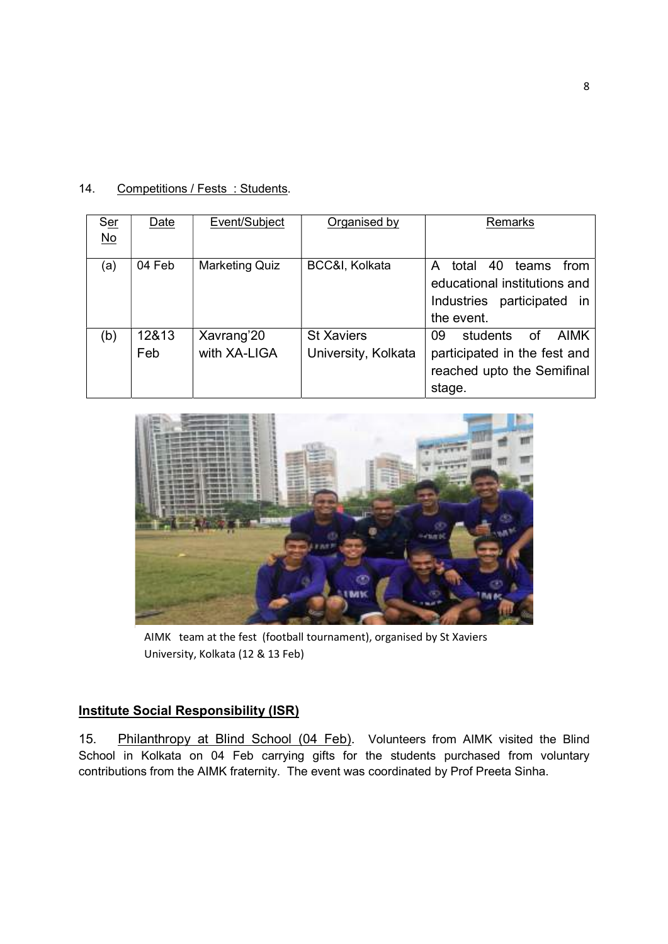| 14. | Competitions / Fests: Students. |  |
|-----|---------------------------------|--|
|-----|---------------------------------|--|

| <b>Ser</b><br>$\underline{\mathsf{No}}$ | Date         | Event/Subject              | Organised by                             | Remarks                                                                                                             |
|-----------------------------------------|--------------|----------------------------|------------------------------------------|---------------------------------------------------------------------------------------------------------------------|
| (a)                                     | 04 Feb       | <b>Marketing Quiz</b>      | BCC&I, Kolkata                           | total<br>40<br>teams<br>from<br>A<br>educational institutions and<br>Industries<br>participated<br>in<br>the event. |
| (b)                                     | 12&13<br>Feb | Xavrang'20<br>with XA-LIGA | <b>St Xaviers</b><br>University, Kolkata | 09<br>students<br><b>AIMK</b><br>of<br>participated in the fest and<br>reached upto the Semifinal<br>stage.         |



AIMK team at the fest (football tournament), organised by St Xaviers University, Kolkata (12 & 13 Feb)

# **Institute Social Responsibility (ISR)**

15. Philanthropy at Blind School (04 Feb). Volunteers from AIMK visited the Blind School in Kolkata on 04 Feb carrying gifts for the students purchased from voluntary contributions from the AIMK fraternity. The event was coordinated by Prof Preeta Sinha.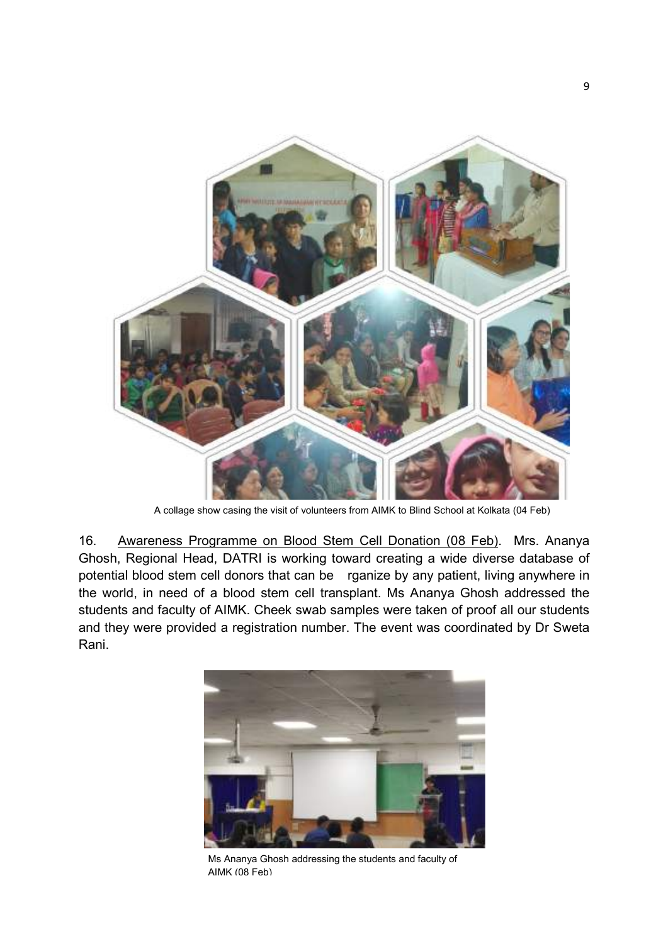

A collage show casing the visit of volunteers from AIMK to Blind School at Kolkata (04 Feb)

16. Awareness Programme on Blood Stem Cell Donation (08 Feb). Mrs. Ananya Ghosh, Regional Head, DATRI is working toward creating a wide diverse database of potential blood stem cell donors that can be rganize by any patient, living anywhere in the world, in need of a blood stem cell transplant. Ms Ananya Ghosh addressed the students and faculty of AIMK. Cheek swab samples were taken of proof all our students and they were provided a registration number. The event was coordinated by Dr Sweta Rani.



Ms Ananya Ghosh addressing the students and faculty of AIMK (08 Feb)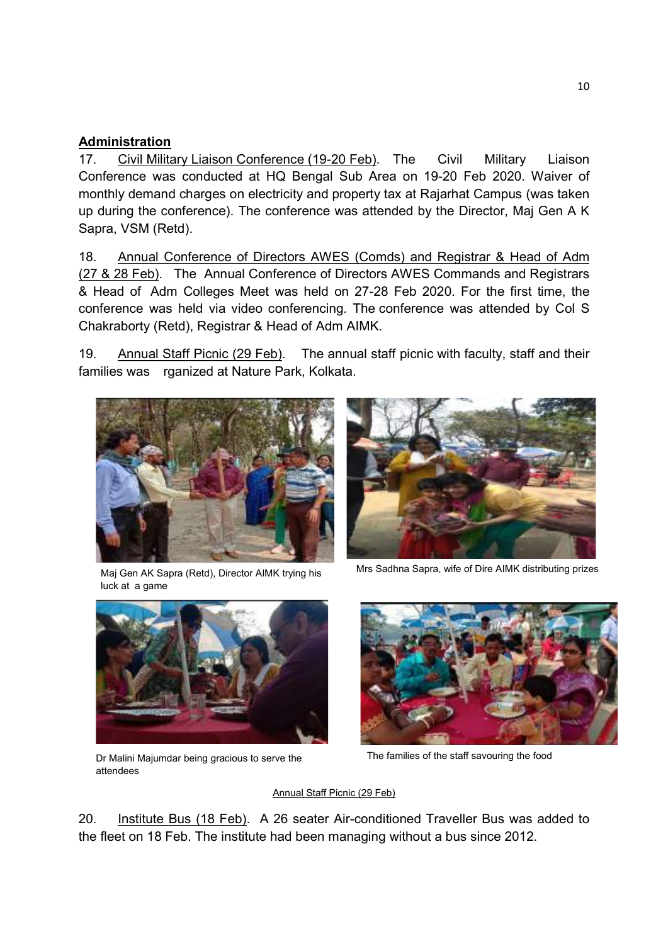# Administration

17. Civil Military Liaison Conference (19-20 Feb). The Civil Military Liaison Conference was conducted at HQ Bengal Sub Area on 19-20 Feb 2020. Waiver of monthly demand charges on electricity and property tax at Rajarhat Campus (was taken up during the conference). The conference was attended by the Director, Maj Gen A K Sapra, VSM (Retd).

18. Annual Conference of Directors AWES (Comds) and Registrar & Head of Adm (27 & 28 Feb). The Annual Conference of Directors AWES Commands and Registrars & Head of Adm Colleges Meet was held on 27-28 Feb 2020. For the first time, the conference was held via video conferencing. The conference was attended by Col S Chakraborty (Retd), Registrar & Head of Adm AIMK.

19. Annual Staff Picnic (29 Feb). The annual staff picnic with faculty, staff and their families was rganized at Nature Park, Kolkata.



Maj Gen AK Sapra (Retd), Director AIMK trying his luck at a game



Mrs Sadhna Sapra, wife of Dire AIMK distributing prizes



Dr Malini Majumdar being gracious to serve the attendees



The families of the staff savouring the food

#### Annual Staff Picnic (29 Feb)

20. Institute Bus (18 Feb). A 26 seater Air-conditioned Traveller Bus was added to the fleet on 18 Feb. The institute had been managing without a bus since 2012.